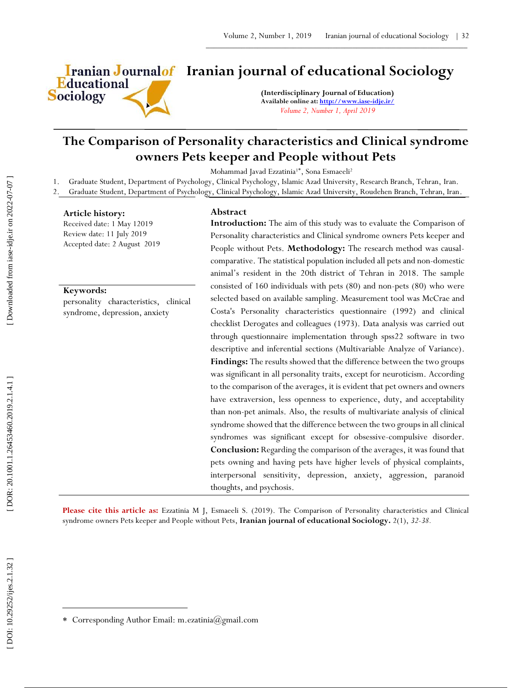

# **Iranian Journalof** Iranian journal of educational Sociology

**(Interdisciplinary Journal of Education) Available online at[: http://www.iase](http://www.iase-idje.ir/) -idje.ir/** *Volume 2, Number 1, April 2019*

## **The Comparison of Personality characteristics and Clinical syndrome owners Pets keeper and People without Pets**

Mohammad Javad Ezzatinia<sup>1\*</sup>, Sona Esmaeeli<sup>2</sup>

1. Graduate Student, Department of Psychology, Clinical Psychology, Islamic Azad University, Research Branch, Tehran, Iran.

2. Graduate Student, Department of Psychology, Clinical Psychology, Islamic Azad University, Roudehen Branch, Tehran, Iran.

#### **Article history:**

Received date: 1 May 12019 Review date: 11 July 2019 Accepted date: 2 August 2019

#### **Keywords:**

personality characteristics, clinical syndrome, depression, anxiety

#### **Abstract**

**Introduction :** The aim of this study was to evaluate the Comparison of Personality characteristics and Clinical syndrome owners Pets keeper and People without Pets. **Methodology:** The research method was causal comparative. The statistical population included all pets and non -domestic animal's resident in the 20th district of Tehran in 2018. The sample consisted of 160 individuals with pets (80) and non -pets (80) who were selected based on available sampling. Measurement tool was McCrae and Costa's Personality characteristics questionnaire (1992) and clinical checklist Derogates and colleagues (1973). Data analysis was carried out through questionnaire implementation through spss22 software in two descriptive and inferential sections (Multivariable Analyze of Variance). **Findings:** The results showed that the difference between the two groups was significant in all personality traits, except for neuroticism. According to the comparison of the averages, it is evident that pet owners and owners have extraversion, less openness to experience, duty, and acceptability than non -pet animals. Also, the results of multivariate analysis of clinical syndrome showed that the difference between the two groups in all clinical syndromes was significant except for obsessive -compulsive disorder. **Conclusion:** Regarding the comparison of the averages, it was found that pets owning and having pets have higher levels of physical complaints, interpersonal sensitivity, depression, anxiety, aggression, paranoid thoughts, and psychosis.

**Please cite this article as:** Ezzatinia M J, Esmaeeli S. (201 9). The Comparison of Personality characteristics and Clinical syndrome owners Pets keeper and People without Pets , **Iranian journal of educational Sociology .** 2 ( 1), *32 -38.*

 $\overline{a}$ 

Corresponding Author Email: m.ezatinia@gmail.com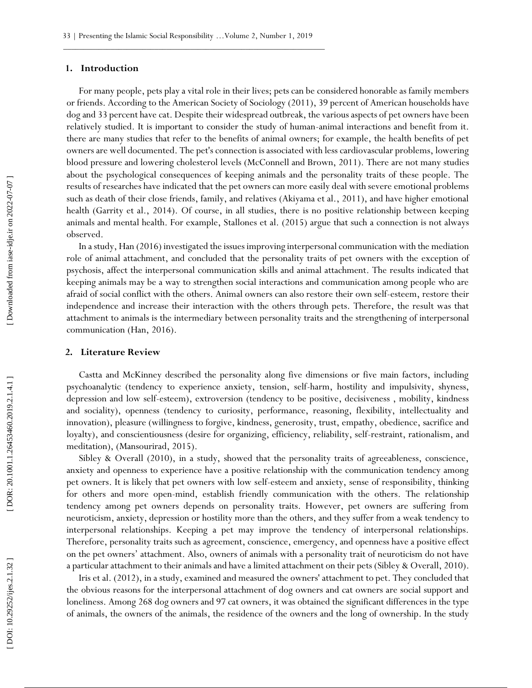#### **1. Introduction**

For many people, pets play a vital role in their lives; pets can be considered honorable as family members or friends. According to the American Society of Sociology (2011), 39 percent of American households have dog and 33 percent have cat. Despite their widespread outbreak, the various aspects of pet owners have been relatively studied. It is important to consider the study of human -animal interactions and benefit from it. there are many studies that refer to the benefits of animal owners; for example, the health benefits of pet owners are well documented. The pet's connection is associated with less cardiovascular problems, lowering blood pressure and lowering cholesterol levels (McConnell and Brown, 2011). There are not many studies about the psychological consequences of keeping animals and the personality traits of these people. The results of researches have indicated that the pet owners can more easily deal with severe emotional problems such as death of their close friends, family, and relatives (Akiyama et al., 2011), and have higher emotional health (Garrity et al., 2014). Of course, in all studies, there is no positive relationship between keeping animals and mental health. For example, Stallones et al. (2015) argue that such a connection is not always observed.

In a study, Han (2016) investigated the issues improving interpersonal communication with the mediation role of animal attachment, and concluded that the personality traits of pet owners with the exception of psychosis, affect the interpersonal communication skills and animal attachment. The results indicated that keeping animals may be a way to strengthen social interactions and communication among people who are afraid of social conflict with the others. Animal owners can also restore their own self -esteem, restore their independence and increase their interaction with the others through pets. Therefore, the result was that attachment to animals is the intermediary between personality traits and the strengthening of interpersonal communication (Han, 2016).

#### **2. Literature Review**

Castta and McKinney described the personality along five dimensions or five main factors, including psychoanalytic (tendency to experience anxiety, tension, self -harm, hostility and impulsivity, shyness, depression and low self-esteem), extroversion (tendency to be positive, decisiveness , mobility, kindness and sociality), openness (tendency to curiosity, performance, reasoning, flexibility, intellectuality and innovation), pleasure (willingness to forgive, kindness, generosity, trust, empathy, obedience, sacrifice and loyalty), and conscientiousness (desire for organizing, efficiency, reliability, self-restraint, rationalism, and meditation), (Mansourirad, 2015).

Sibley & Overall (2010), in a study, showed that the personality traits of agreeableness, conscience, anxiety and openness to experience have a positive relationship with the communication tendency among pet owners. It is likely that pet owners with low self-esteem and anxiety, sense of responsibility, thinking for others and more open -mind, establish friendly communication with the others. The relationship tendency among pet owners depends on personality traits. However, pet owners are suffering from neuroticism, anxiety, depression or hostility more than the others, and they suffer from a weak tendency to interpersonal relationships. Keeping a pet may improve the tendency of interpersonal relationships. Therefore, personality traits such as agreement, conscience, emergency, and openness have a positive effect on the pet owners' attachment. Also, owners of animals with a personality trait of neuroticism do not have a particular attachment to their animals and have a limited attachment on their pets (Sibley & Overall, 2010).

Iris et al. (2012), in a study, examined and measured the owners' attachment to pet. They concluded that the obvious reasons for the interpersonal attachment of dog owners and cat owners are social support and loneliness. Among 268 dog owners and 97 cat owners, it was obtained the significant differences in the type of animals, the owners of the animals, the residence of the owners and the long of ownership. In the study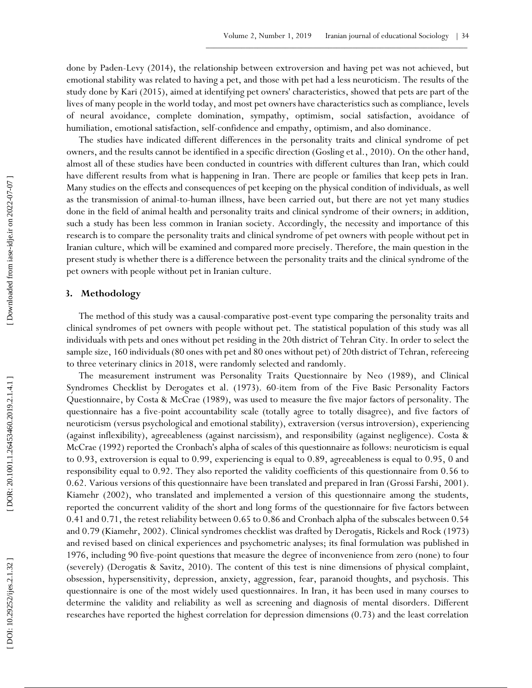done by Paden -Levy (2014), the relationship between extroversion and having pet was not achieved, but emotional stability was related to having a pet, and those with pet had a less neuroticism. The results of the study done by Kari (2015), aimed at identifying pet owners' characteristics, showed that pets are part of the lives of many people in the world today, and most pet owners have characteristics such as compliance, levels of neural avoidance, complete domination, sympathy, optimism, social satisfaction, avoidance of humiliation, emotional satisfaction, self -confidence and empathy, optimism, and also dominance.

The studies have indicated different differences in the personality traits and clinical syndrome of pet owners, and the results cannot be identified in a specific direction (Gosling et al., 2010). On the other hand, almost all of these studies have been conducted in countries with different cultures than Iran, which could have different results from what is happening in Iran. There are people or families that keep pets in Iran. Many studies on the effects and consequences of pet keeping on the physical condition of individuals, as well as the transmission of animal -to -human illness, have been carried out, but there are not yet many studies done in the field of animal health and personality traits and clinical syndrome of their owners; in addition, such a study has been less common in Iranian society. Accordingly, the necessity and importance of this research is to compare the personality traits and clinical syndrome of pet owners with people without pet in Iranian culture, which will be examined and compared more precisely. Therefore, the main question in the present study is whether there is a difference between the personality traits and the clinical syndrome of the pet owners with people without pet in Iranian culture.

#### **3. Methodology**

The method of this study was a causal -comparative post -event type comparing the personality traits and clinical syndromes of pet owners with people without pet. The statistical population of this study was all individuals with pets and ones without pet residing in the 20th district of Tehran City. In order to select the sample size, 160 individuals (80 ones with pet and 80 ones without pet) of 20th district of Tehran, refereeing to three veterinary clinics in 2018, were randomly selected and randomly.

The measurement instrument was Personality Traits Questionnaire by Neo (1989), and Clinical Syndromes Checklist by Derogates et al. (1973). 60 -item from of the Five Basic Personality Factors Questionnaire, by Costa & McCrae (1989), was used to measure the five major factors of personality. The questionnaire has a five -point accountability scale (totally agree to totally disagree), and five factors of neuroticism (versus psychological and emotional stability), extraversion (versus introversion), experiencing (against inflexibility), agreeableness (against narcissism), and responsibility (against negligence). Costa & McCrae (1992) reported the Cronbach's alpha of scales of this questionnaire as follows: neuroticism is equal to 0.93, extroversion is equal to 0.99, experiencing is equal to 0.89, agreeableness is equal to 0.95, 0 and responsibility equal to 0.92. They also reported the validity coefficients of this questionnaire from 0.56 to 0.62. Various versions of this questionnaire have been translated and prepared in Iran (Grossi Farshi, 2001). Kiamehr (2002), who translated and implemented a version of this questionnaire among the students, reported the concurrent validity of the short and long forms of the questionnaire for five factors between 0.41 and 0.71, the retest reliability between 0.65 to 0.86 and Cronbach alpha of the subscales between 0.54 and 0.79 (Kiamehr, 2002). Clinical syndromes checklist was drafted by Derogatis, Rickels and Rock (1973) and revised based on clinical experiences and psychometric analyses; its final formulation was published in 1976, including 90 five -point questions that measure the degree of inconvenience from zero (none) to four (severely) (Derogatis & Savitz, 2010). The content of this test is nine dimensions of physical complaint, obsession, hypersensitivity, depression, anxiety, aggression, fear, paranoid thoughts, and psychosis. This questionnaire is one of the most widely used questionnaires. In Iran, it has been used in many courses to determine the validity and reliability as well as screening and diagnosis of mental disorders. Different researches have reported the highest correlation for depression dimensions (0.73) and the least correlation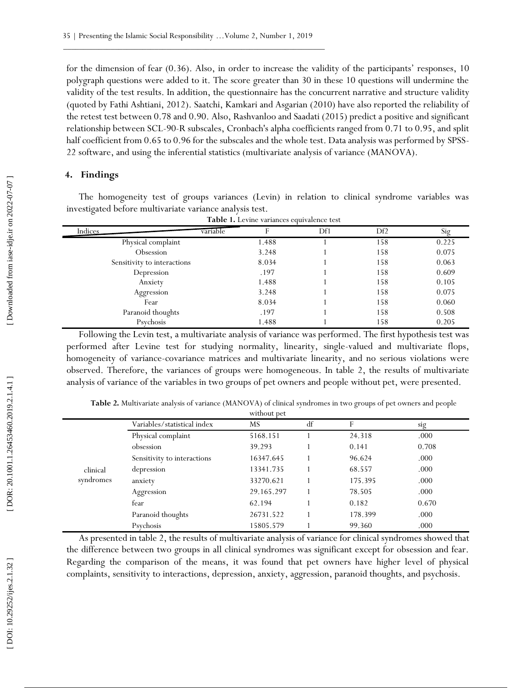for the dimension of fear (0.36). Also, in order to increase the validity of the participants' responses, 10 polygraph questions were added to it. The score greater than 30 in these 10 questions will undermine the validity of the test results. In addition, the questionnaire has the concurrent narrative and structure validity (quoted by Fathi Ashtiani, 2012). Saatchi, Kamkari and Asgarian (2010) have also reported the reliability of the retest test between 0.78 and 0.90. Also, Rashvanloo and Saadati (2015) predict a positive and significant relationship between SCL -90 -R subscales, Cronbach's alpha coefficients ranged from 0.71 to 0.95, and split half coefficient from 0.65 to 0.96 for the subscales and the whole test. Data analysis was performed by SPSS - 22 software, and using the inferential statistics (multivariate analysis of variance (MANOVA).

### **4. Findings**

The homogeneity test of groups variances (Levin) in relation to clinical syndrome variables was investigated before multivariate variance analysis test.

| <b>Table 1.</b> Levine variances equivalence test |          |     |     |       |  |
|---------------------------------------------------|----------|-----|-----|-------|--|
| Indices                                           | variable | Df1 | Df2 | Sig   |  |
| Physical complaint                                | 1.488    |     | 158 | 0.225 |  |
| Obsession                                         | 3.248    |     | 158 | 0.075 |  |
| Sensitivity to interactions                       | 8.034    |     | 158 | 0.063 |  |
| Depression                                        | .197     |     | 158 | 0.609 |  |
| Anxiety                                           | 1.488    |     | 158 | 0.105 |  |
| Aggression                                        | 3.248    |     | 158 | 0.075 |  |
| Fear                                              | 8.034    |     | 158 | 0.060 |  |
| Paranoid thoughts                                 | .197     |     | 158 | 0.508 |  |
| Psychosis                                         | 1.488    |     | 158 | 0.205 |  |

Following the Levin test, a multivariate analysis of variance was performed. The first hypothesis test was performed after Levine test for studying normality, linearity, single-valued and multivariate flops, homogeneity of variance -covariance matrices and multivariate linearity, and no serious violations were observed. Therefore, the variances of groups were homogeneous. In table 2, the results of multivariate analysis of variance of the variables in two groups of pet owners and people without pet, were presented.

|           |                             | without pet |    |         |       |  |
|-----------|-----------------------------|-------------|----|---------|-------|--|
|           | Variables/statistical index | MS          | df | F       | sig   |  |
|           | Physical complaint          | 5168.151    |    | 24.318  | .000  |  |
|           | obsession                   | 39.293      |    | 0.141   | 0.708 |  |
|           | Sensitivity to interactions | 16347.645   |    | 96.624  | .000  |  |
| clinical  | depression                  | 13341.735   |    | 68.557  | .000  |  |
| syndromes | anxiety                     | 33270.621   |    | 175.395 | .000  |  |
|           | Aggression                  | 29.165.297  |    | 78.505  | .000  |  |
|           | fear                        | 62.194      |    | 0.182   | 0.670 |  |
|           | Paranoid thoughts           | 26731.522   |    | 178.399 | .000  |  |
|           | Psychosis                   | 15805.579   |    | 99.360  | .000  |  |

**Table 2.** Multivariate analysis of variance (MANOVA) of clinical syndromes in two groups of pet owners and people

As presented in table 2, the results of multivariate analysis of variance for clinical syndromes showed that the difference between two groups in all clinical syndromes was significant except for obsession and fear. Regarding the comparison of the means, it was found that pet owners have higher level of physical complaints, sensitivity to interactions, depression, anxiety, aggression, paranoid thoughts, and psychosis.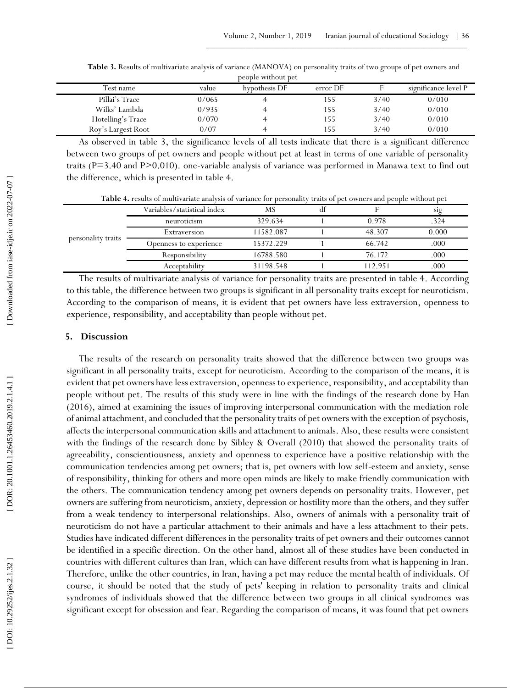| people without pet |       |               |          |      |                      |
|--------------------|-------|---------------|----------|------|----------------------|
| Test name          | value | hypothesis DF | error DF |      | significance level P |
| Pillai's Trace     | 0/065 |               | l 55     | 3/40 | 0/010                |
| Wilks' Lambda      | 0/935 |               | 155      | 3/40 | 0/010                |
| Hotelling's Trace  | 0/070 |               | 155      | 3/40 | 0/010                |
| Roy's Largest Root | 0/07  |               | 155      | 3/40 | 0/010                |

**Table 3.** Results of multivariate analysis of variance (MANOVA) on personality traits of two groups of pet owners and people without pet

As observed in table 3, the significance levels of all tests indicate that there is a significant difference between two groups of pet owners and people without pet at least in terms of one variable of personality traits (P=3.40 and P>0.010). one-variable analysis of variance was performed in Manawa text to find out the difference, which is presented in table 4.

**Table 4.** results of multivariate analysis of variance for personality traits of pet owners and people without pet

|                    | Variables/statistical index | MS        | d1 |         | S19   |
|--------------------|-----------------------------|-----------|----|---------|-------|
| personality traits | neuroticism                 | 329.634   |    | 0.978   | .324  |
|                    | Extraversion                | 11582.087 |    | 48.307  | 0.000 |
|                    | Openness to experience      | 15372.229 |    | 66.742  | .000  |
|                    | Responsibility              | 16788.580 |    | 76.172  | .000  |
|                    | Acceptability               | 31198.548 |    | 112.951 | .000  |

The results of multivariate analysis of variance for personality traits are presented in table 4. According to this table, the difference between two groups is significant in all personality traits except for neuroticism. According to the comparison of means, it is evident that pet owners have less extraversion, openness to experience, responsibility, and acceptability than people without pet.

#### **5. Discussion**

The results of the research on personality traits showed that the difference between two groups was significant in all personality traits, except for neuroticism. According to the comparison of the means, it is evident that pet owners have less extraversion, openness to experience, responsibility, and acceptability than people without pet. The results of this study were in line with the findings of the research done by Han (2016), aimed at examining the issues of improving interpersonal communication with the mediation role of animal attachment, and concluded that the personality traits of pet owners with the exception of psychosis, affects the interpersonal communication skills and attachment to animals. Also, these results were consistent with the findings of the research done by Sibley & Overall (2010) that showed the personality traits of agreeability, conscientiousness, anxiety and openness to experience have a positive relationship with the communication tendencies among pet owners; that is, pet owners with low self -esteem and anxiety, sense of responsibility, thinking for others and more open minds are likely to make friendly communication with the others. The communication tendency among pet owners depends on personality traits. However, pet owners are suffering from neuroticism, anxiety, depression or hostility more than the others, and they suffer from a weak tendency to interpersonal relationships. Also, owners of animals with a personality trait of neuroticism do not have a particular attachment to their animals and have a less attachment to their pets. Studies have indicated different differences in the personality traits of pet owners and their outcomes cannot be identified in a specific direction. On the other hand, almost all of these studies have been conducted in countries with different cultures than Iran, which can have different results from what is happening in Iran. Therefore, unlike the other countries, in Iran, having a pet may reduce the mental health of individuals. Of course, it should be noted that the study of pets' keeping in relation to personality traits and clinical syndromes of individuals showed that the difference between two groups in all clinical syndromes was significant except for obsession and fear. Regarding the comparison of means, it was found that pet owners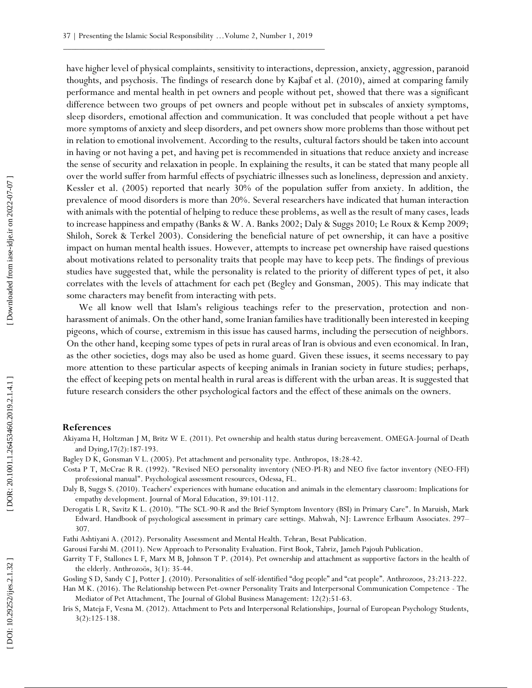have higher level of physical complaints, sensitivity to interactions, depression, anxiety, aggression, paranoid thoughts, and psychosis. The findings of research done by Kajbaf et al. (2010), aimed at comparing family performance and mental health in pet owners and people without pet, showed that there was a significant difference between two groups of pet owners and people without pet in subscales of anxiety symptoms, sleep disorders, emotional affection and communication. It was concluded that people without a pet have more symptoms of anxiety and sleep disorders, and pet owners show more problems than those without pet in relation to emotional involvement. According to the results, cultural factors should be taken into account in having or not having a pet, and having pet is recommended in situations that reduce anxiety and increase the sense of security and relaxation in people. In explaining the results, it can be stated that many people all over the world suffer from harmful effects of psychiatric illnesses such as loneliness, depression and anxiety. Kessler et al. (2005) reported that nearly 30% of the population suffer from anxiety. In addition, the prevalence of mood disorders is more than 20%. Several researchers have indicated that human interaction with animals with the potential of helping to reduce these problems, as well as the result of many cases, leads to increase happiness and empathy (Banks & W. A. Banks 2002; Daly & Suggs 2010; Le Roux & Kemp 2009; Shiloh, Sorek & Terkel 2003). Considering the beneficial nature of pet ownership, it can have a positive impact on human mental health issues. However, attempts to increase pet ownership have raised questions about motivations related to personality traits that people may have to keep pets. The findings of previous studies have suggested that, while the personality is related to the priority of different types of pet, it also correlates with the levels of attachment for each pet (Begley and Gonsman, 2005). This may indicate that some characters may benefit from interacting with pets.

We all know well that Islam's religious teachings refer to the preservation, protection and nonharassment of animals. On the other hand, some Iranian families have traditionally been interested in keeping pigeons, which of course, extremism in this issue has caused harms, including the persecution of neighbors. On the other hand, keeping some types of pets in rural areas of Iran is obvious and even economical. In Iran, as the other societies, dogs may also be used as home guard. Given these issues, it seems necessary to pay more attention to these particular aspects of keeping animals in Iranian society in future studies; perhaps, the effect of keeping pets on mental health in rural areas is different with the urban areas. It is suggested that future research considers the other psychological factors and the effect of these animals on the owners.

#### **References**

Akiyama H, Holtzman J M, Britz W E. (2011). Pet ownership and health status during bereavement. OMEGA -Journal of Death and Dying ,17(2):187 -193.

Bagley D K, Gonsman V L. (2005). Pet attachment and personality type. Anthropos, 18:28-42.

Costa P T, McCrae R R. (1992). "Revised NEO personality inventory (NEO-PI-R) and NEO five factor inventory (NEO-FFI) professional manual". Psychological assessment resources, Odessa, FL.

Daly B, Suggs S. (2010). Teachers' experiences with humane education and animals in the elementary classroom: Implications for empathy development. Journal of Moral Education, 39:101 -112.

Derogatis L R, Savitz K L. (2010). "The SCL -90 -R and the Brief Symptom Inventory (BSI) in Primary Care". In Maruish, Mark Edward. Handbook of psychological assessment in primary care settings. Mahwah, NJ: Lawrence Erlbaum Associates. 297 – 307.

Fathi Ashtiyani A. (2012). Personality Assessment and Mental Health. Tehran, Besat Publication.

Garousi Farshi M. (2011). New Approach to Personality Evaluation. First Book, Tabriz, Jameh Pajouh Publication.

Garrity T F, Stallones L F, Marx M B, Johnson T P. (2014). Pet ownership and attachment as supportive factors in the health of the elderly. Anthrozoös, 3(1): 35 -44.

Gosling S D, Sandy C J, Potter J. (2010). Personalities of self-identified "dog people" and "cat people". Anthrozoos, 23:213-222.

Han MK. (2016). The Relationship between Pet-owner Personality Traits and Interpersonal Communication Competence - The Mediator of Pet Attachment, The Journal of Global Business Management: 12(2):51 -63.

Iris S, Mateja F, Vesna M. (2012). Attachment to Pets and Interpersonal Relationships, Journal of European Psychology Students, 3(2):125 -138.